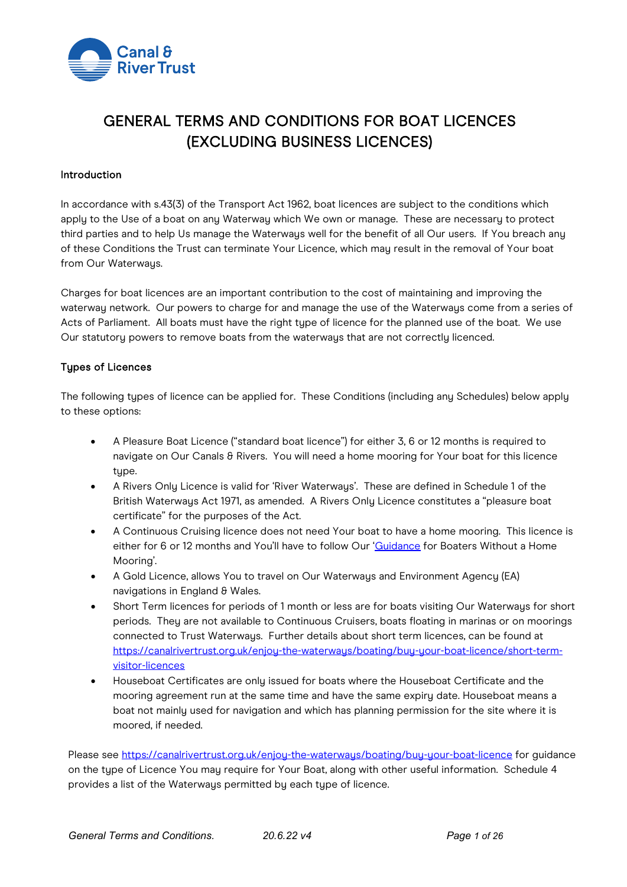

# GENERAL TERMS AND CONDITIONS FOR BOAT LICENCES (EXCLUDING BUSINESS LICENCES)

#### Introduction

In accordance with s.43(3) of the Transport Act 1962, boat licences are subject to the conditions which apply to the Use of a boat on any Waterway which We own or manage. These are necessary to protect third parties and to help Us manage the Waterways well for the benefit of all Our users. If You breach any of these Conditions the Trust can terminate Your Licence, which may result in the removal of Your boat from Our Waterways.

Charges for boat licences are an important contribution to the cost of maintaining and improving the waterway network. Our powers to charge for and manage the use of the Waterways come from a series of Acts of Parliament. All boats must have the right type of licence for the planned use of the boat. We use Our statutory powers to remove boats from the waterways that are not correctly licenced.

#### Types of Licences

The following types of licence can be applied for. These Conditions (including any Schedules) below apply to these options:

- A Pleasure Boat Licence ("standard boat licence") for either 3, 6 or 12 months is required to navigate on Our Canals & Rivers. You will need a home mooring for Your boat for this licence type.
- A Rivers Only Licence is valid for 'River Waterways'. These are defined in Schedule 1 of the British Waterways Act 1971, as amended. A Rivers Only Licence constitutes a "pleasure boat certificate" for the purposes of the Act.
- A Continuous Cruising licence does not need Your boat to have a home mooring. This licence is either for 6 or 12 months and You'll have to follow Our ['Guidance](https://canalrivertrust.org.uk/media/original/633-guidance-for-boaters-without-a-home-mooring.pdf?v=09041e) for Boaters Without a Home Mooring'.
- A Gold Licence, allows You to travel on Our Waterways and Environment Agency (EA) navigations in England & Wales.
- Short Term licences for periods of 1 month or less are for boats visiting Our Waterways for short periods. They are not available to Continuous Cruisers, boats floating in marinas or on moorings connected to Trust Waterways. Further details about short term licences, can be found at [https://canalrivertrust.org.uk/enjoy-the-waterways/boating/buy-your-boat-licence/short-term](https://canalrivertrust.org.uk/enjoy-the-waterways/boating/buy-your-boat-licence/short-term-visitor-licences)[visitor-licences](https://canalrivertrust.org.uk/enjoy-the-waterways/boating/buy-your-boat-licence/short-term-visitor-licences)
- Houseboat Certificates are only issued for boats where the Houseboat Certificate and the mooring agreement run at the same time and have the same expiry date. Houseboat means a boat not mainly used for navigation and which has planning permission for the site where it is moored, if needed.

Please see https://canalrivertrust.org.uk/enjou-the-waterways/boating/buy-your-boat-licence for guidance on the type of Licence You may require for Your Boat, along with other useful information. Schedule 4 provides a list of the Waterways permitted by each type of licence.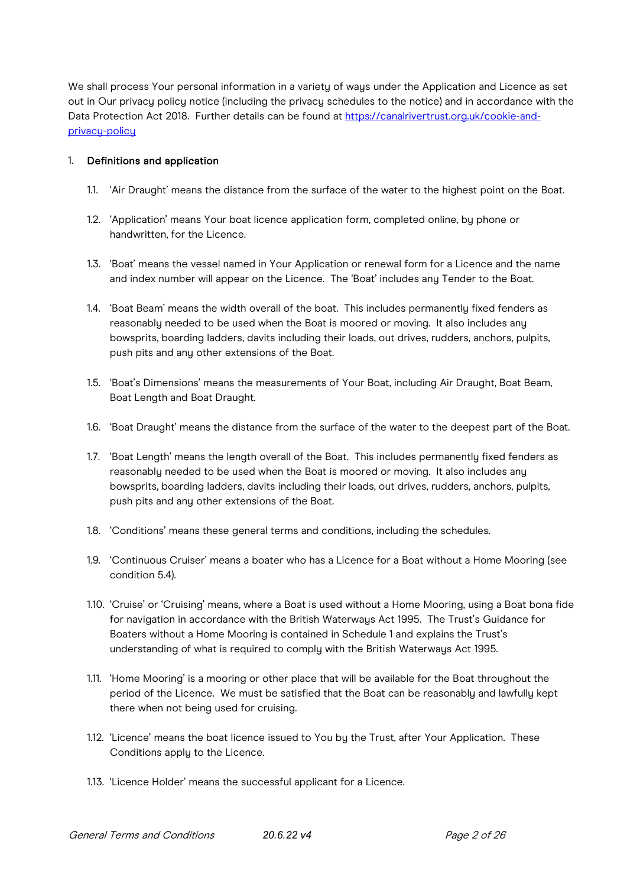We shall process Your personal information in a variety of ways under the Application and Licence as set out in Our privacy policy notice (including the privacy schedules to the notice) and in accordance with the Data Protection Act 2018. Further details can be found at [https://canalrivertrust.org.uk/cookie-and](https://canalrivertrust.org.uk/cookie-and-privacy-policy)privacu-policu

## 1. Definitions and application

- 1.1. 'Air Draught' means the distance from the surface of the water to the highest point on the Boat.
- 1.2. 'Application' means Your boat licence application form, completed online, by phone or handwritten, for the Licence.
- 1.3. 'Boat' means the vessel named in Your Application or renewal form for a Licence and the name and index number will appear on the Licence. The 'Boat' includes any Tender to the Boat.
- 1.4. 'Boat Beam' means the width overall of the boat. This includes permanently fixed fenders as reasonably needed to be used when the Boat is moored or moving. It also includes any bowsprits, boarding ladders, davits including their loads, out drives, rudders, anchors, pulpits, push pits and any other extensions of the Boat.
- 1.5. 'Boat's Dimensions' means the measurements of Your Boat, including Air Draught, Boat Beam, Boat Length and Boat Draught.
- 1.6. 'Boat Draught' means the distance from the surface of the water to the deepest part of the Boat.
- 1.7. 'Boat Length' means the length overall of the Boat. This includes permanently fixed fenders as reasonably needed to be used when the Boat is moored or moving. It also includes any bowsprits, boarding ladders, davits including their loads, out drives, rudders, anchors, pulpits, push pits and any other extensions of the Boat.
- 1.8. 'Conditions' means these general terms and conditions, including the schedules.
- 1.9. 'Continuous Cruiser' means a boater who has a Licence for a Boat without a Home Mooring (see condition 5.4).
- 1.10. 'Cruise' or 'Cruising' means, where a Boat is used without a Home Mooring, using a Boat bona fide for navigation in accordance with the British Waterways Act 1995. The Trust's Guidance for Boaters without a Home Mooring is contained in Schedule 1 and explains the Trust's understanding of what is required to comply with the British Waterways Act 1995.
- 1.11. 'Home Mooring' is a mooring or other place that will be available for the Boat throughout the period of the Licence. We must be satisfied that the Boat can be reasonably and lawfully kept there when not being used for cruising.
- 1.12. 'Licence' means the boat licence issued to You by the Trust, after Your Application. These Conditions apply to the Licence.
- 1.13. 'Licence Holder' means the successful applicant for a Licence.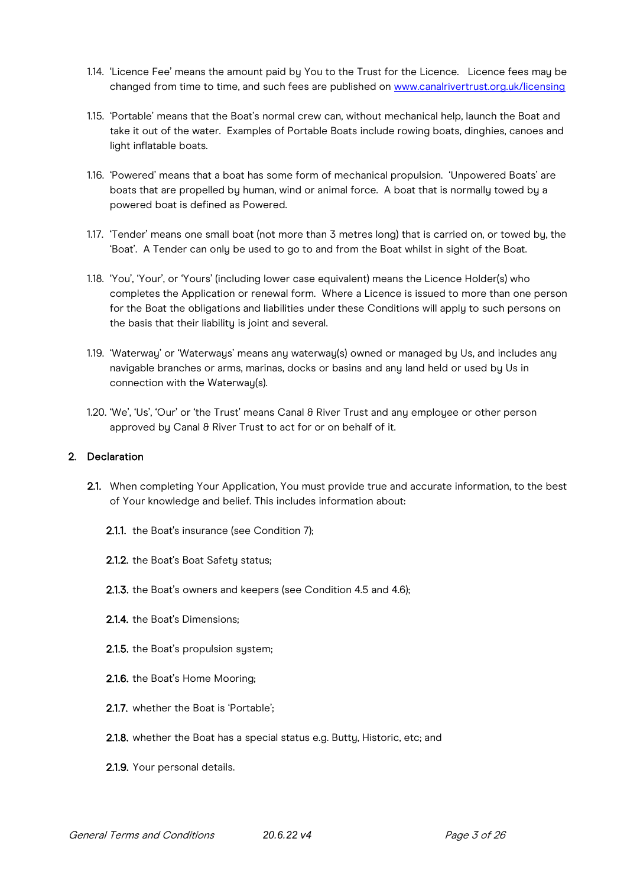- 1.14. 'Licence Fee' means the amount paid by You to the Trust for the Licence. Licence fees may be changed from time to time, and such fees are published on [www.canalrivertrust.org.uk/licensing](http://www.canalrivertrust.org.uk/licensing)
- 1.15. 'Portable' means that the Boat's normal crew can, without mechanical help, launch the Boat and take it out of the water. Examples of Portable Boats include rowing boats, dinghies, canoes and light inflatable boats.
- 1.16. 'Powered' means that a boat has some form of mechanical propulsion. 'Unpowered Boats' are boats that are propelled by human, wind or animal force. A boat that is normally towed by a powered boat is defined as Powered.
- 1.17. 'Tender' means one small boat (not more than 3 metres long) that is carried on, or towed by, the 'Boat'. A Tender can only be used to go to and from the Boat whilst in sight of the Boat.
- 1.18. 'You', 'Your', or 'Yours' (including lower case equivalent) means the Licence Holder(s) who completes the Application or renewal form. Where a Licence is issued to more than one person for the Boat the obligations and liabilities under these Conditions will apply to such persons on the basis that their liability is joint and several.
- 1.19. 'Waterway' or 'Waterways' means any waterway(s) owned or managed by Us, and includes any navigable branches or arms, marinas, docks or basins and any land held or used by Us in connection with the Waterway(s).
- 1.20. 'We', 'Us', 'Our' or 'the Trust' means Canal & River Trust and any employee or other person approved by Canal & River Trust to act for or on behalf of it.

# 2. Declaration

- 2.1. When completing Your Application, You must provide true and accurate information, to the best of Your knowledge and belief. This includes information about:
	- 2.1.1. the Boat's insurance (see Condition 7);
	- 2.1.2. the Boat's Boat Safety status;
	- 2.1.3. the Boat's owners and keepers (see Condition 4.5 and 4.6);
	- 2.1.4. the Boat's Dimensions;
	- 2.1.5. the Boat's propulsion system;
	- 2.1.6. the Boat's Home Mooring;
	- 2.1.7. whether the Boat is 'Portable';
	- 2.1.8. whether the Boat has a special status e.g. Butty, Historic, etc; and
	- 2.1.9. Your personal details.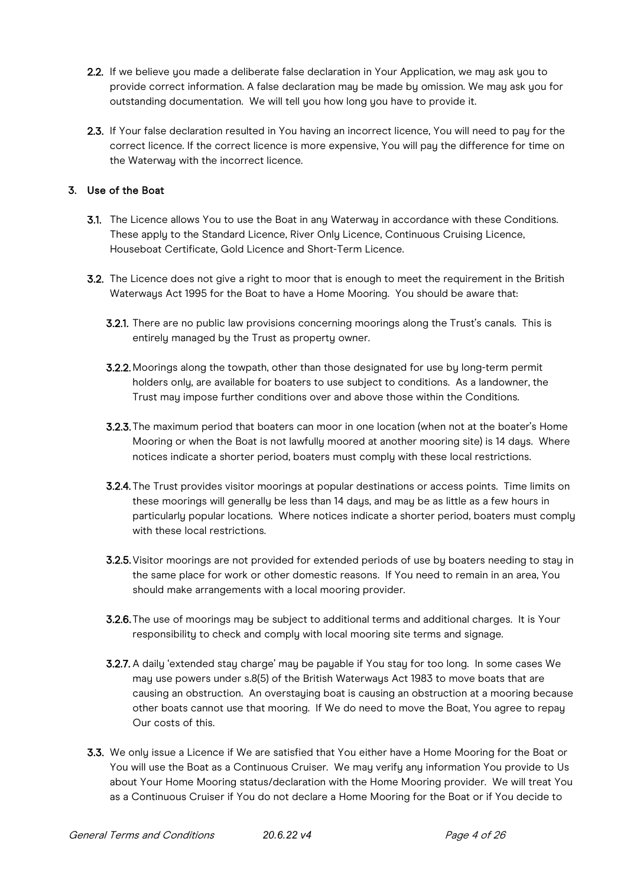- 2.2. If we believe you made a deliberate false declaration in Your Application, we may ask you to provide correct information. A false declaration may be made by omission. We may ask you for outstanding documentation. We will tell you how long you have to provide it.
- 2.3. If Your false declaration resulted in You having an incorrect licence, You will need to pay for the correct licence. If the correct licence is more expensive, You will pay the difference for time on the Waterway with the incorrect licence.

# 3. Use of the Boat

- 3.1. The Licence allows You to use the Boat in any Waterway in accordance with these Conditions. These apply to the Standard Licence, River Only Licence, Continuous Cruising Licence, Houseboat Certificate, Gold Licence and Short-Term Licence.
- 3.2. The Licence does not give a right to moor that is enough to meet the requirement in the British Waterways Act 1995 for the Boat to have a Home Mooring. You should be aware that:
	- 3.2.1. There are no public law provisions concerning moorings along the Trust's canals. This is entirely managed by the Trust as property owner.
	- 3.2.2. Moorings along the towpath, other than those designated for use by long-term permit holders only, are available for boaters to use subject to conditions. As a landowner, the Trust may impose further conditions over and above those within the Conditions.
	- 3.2.3. The maximum period that boaters can moor in one location (when not at the boater's Home Mooring or when the Boat is not lawfully moored at another mooring site) is 14 days. Where notices indicate a shorter period, boaters must comply with these local restrictions.
	- 3.2.4. The Trust provides visitor moorings at popular destinations or access points. Time limits on these moorings will generally be less than 14 days, and may be as little as a few hours in particularly popular locations. Where notices indicate a shorter period, boaters must comply with these local restrictions.
	- 3.2.5.Visitor moorings are not provided for extended periods of use by boaters needing to stay in the same place for work or other domestic reasons. If You need to remain in an area, You should make arrangements with a local mooring provider.
	- 3.2.6. The use of moorings may be subject to additional terms and additional charges. It is Your responsibility to check and comply with local mooring site terms and signage.
	- 3.2.7. A daily 'extended stay charge' may be payable if You stay for too long. In some cases We may use powers under s.8(5) of the British Waterways Act 1983 to move boats that are causing an obstruction. An overstaying boat is causing an obstruction at a mooring because other boats cannot use that mooring. If We do need to move the Boat, You agree to repay Our costs of this.
- **3.3.** We only issue a Licence if We are satisfied that You either have a Home Mooring for the Boat or You will use the Boat as a Continuous Cruiser. We may verify any information You provide to Us about Your Home Mooring status/declaration with the Home Mooring provider. We will treat You as a Continuous Cruiser if You do not declare a Home Mooring for the Boat or if You decide to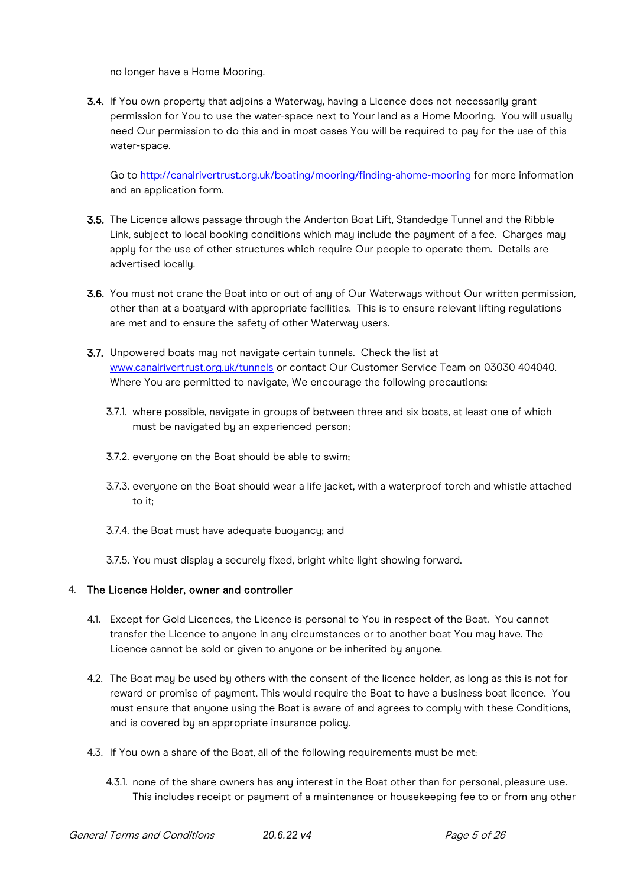no longer have a Home Mooring.

3.4. If You own property that adjoins a Waterway, having a Licence does not necessarily grant permission for You to use the water-space next to Your land as a Home Mooring. You will usually need Our permission to do this and in most cases You will be required to pay for the use of this water-space.

Go to<http://canalrivertrust.org.uk/boating/mooring/finding-ahome-mooring> for more information and an application form.

- 3.5. The Licence allows passage through the Anderton Boat Lift, Standedge Tunnel and the Ribble Link, subject to local booking conditions which may include the payment of a fee. Charges may apply for the use of other structures which require Our people to operate them. Details are advertised locally.
- 3.6. You must not crane the Boat into or out of any of Our Waterways without Our written permission, other than at a boatyard with appropriate facilities. This is to ensure relevant lifting regulations are met and to ensure the safety of other Waterway users.
- 3.7. Unpowered boats may not navigate certain tunnels. Check the list at [www.canalrivertrust.org.uk/tunnels](http://www.canalrivertrust.org.uk/tunnels) or contact Our Customer Service Team on 03030 404040. Where You are permitted to navigate, We encourage the following precautions:
	- 3.7.1. where possible, navigate in groups of between three and six boats, at least one of which must be navigated by an experienced person;
	- 3.7.2. everuone on the Boat should be able to swim:
	- 3.7.3. everyone on the Boat should wear a life jacket, with a waterproof torch and whistle attached to it;
	- 3.7.4. the Boat must have adequate buoyancy; and
	- 3.7.5. You must display a securely fixed, bright white light showing forward.

#### 4. The Licence Holder, owner and controller

- 4.1. Except for Gold Licences, the Licence is personal to You in respect of the Boat. You cannot transfer the Licence to anyone in any circumstances or to another boat You may have. The Licence cannot be sold or given to anyone or be inherited by anyone.
- 4.2. The Boat may be used by others with the consent of the licence holder, as long as this is not for reward or promise of payment. This would require the Boat to have a business boat licence. You must ensure that anyone using the Boat is aware of and agrees to comply with these Conditions, and is covered by an appropriate insurance policy.
- 4.3. If You own a share of the Boat, all of the following requirements must be met:
	- 4.3.1. none of the share owners has any interest in the Boat other than for personal, pleasure use. This includes receipt or payment of a maintenance or housekeeping fee to or from any other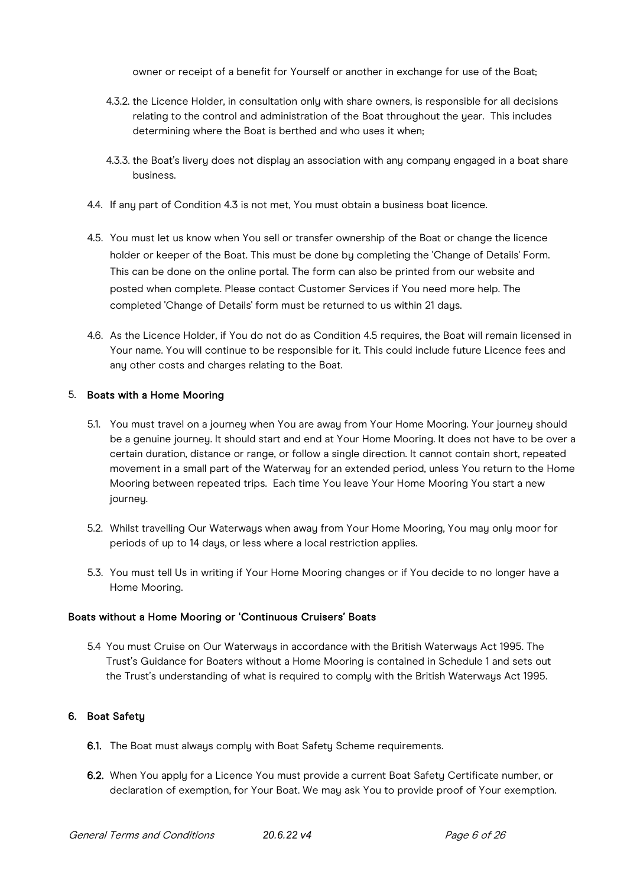owner or receipt of a benefit for Yourself or another in exchange for use of the Boat;

- 4.3.2. the Licence Holder, in consultation only with share owners, is responsible for all decisions relating to the control and administration of the Boat throughout the year. This includes determining where the Boat is berthed and who uses it when;
- 4.3.3. the Boat's livery does not display an association with any company engaged in a boat share business.
- 4.4. If any part of Condition 4.3 is not met. You must obtain a business boat licence.
- 4.5. You must let us know when You sell or transfer ownership of the Boat or change the licence holder or keeper of the Boat. This must be done by completing the 'Change of Details' Form. This can be done on the online portal. The form can also be printed from our website and posted when complete. Please contact Customer Services if You need more help. The completed 'Change of Details' form must be returned to us within 21 days.
- 4.6. As the Licence Holder, if You do not do as Condition 4.5 requires, the Boat will remain licensed in Your name. You will continue to be responsible for it. This could include future Licence fees and any other costs and charges relating to the Boat.

#### 5. Boats with a Home Mooring

- 5.1. You must travel on a journey when You are away from Your Home Mooring. Your journey should be a genuine journey. It should start and end at Your Home Mooring. It does not have to be over a certain duration, distance or range, or follow a single direction. It cannot contain short, repeated movement in a small part of the Waterway for an extended period, unless You return to the Home Mooring between repeated trips. Each time You leave Your Home Mooring You start a new journey.
- 5.2. Whilst travelling Our Waterways when away from Your Home Mooring, You may only moor for periods of up to 14 days, or less where a local restriction applies.
- 5.3. You must tell Us in writing if Your Home Mooring changes or if You decide to no longer have a Home Mooring.

#### Boats without a Home Mooring or 'Continuous Cruisers' Boats

5.4 You must Cruise on Our Waterways in accordance with the British Waterways Act 1995. The Trust's Guidance for Boaters without a Home Mooring is contained in Schedule 1 and sets out the Trust's understanding of what is required to comply with the British Waterways Act 1995.

#### 6. Boat Safety

- 6.1. The Boat must always comply with Boat Safety Scheme requirements.
- 6.2. When You apply for a Licence You must provide a current Boat Safety Certificate number, or declaration of exemption, for Your Boat. We may ask You to provide proof of Your exemption.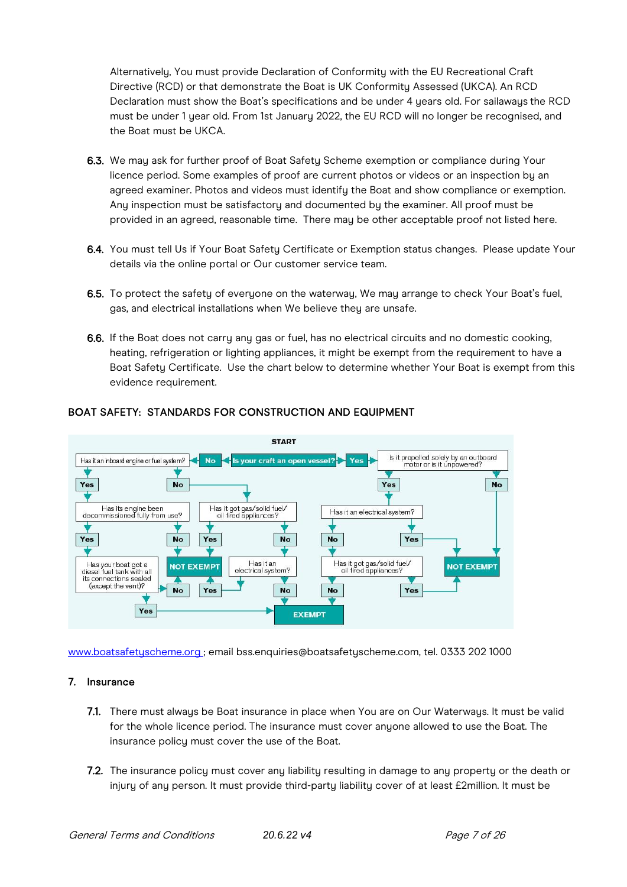Alternatively, You must provide Declaration of Conformity with the EU Recreational Craft Directive (RCD) or that demonstrate the Boat is UK Conformity Assessed (UKCA). An RCD Declaration must show the Boat's specifications and be under 4 years old. For sailaways the RCD must be under 1 year old. From 1st January 2022, the EU RCD will no longer be recognised, and the Boat must be UKCA.

- 6.3. We may ask for further proof of Boat Safety Scheme exemption or compliance during Your licence period. Some examples of proof are current photos or videos or an inspection by an agreed examiner. Photos and videos must identify the Boat and show compliance or exemption. Any inspection must be satisfactory and documented by the examiner. All proof must be provided in an agreed, reasonable time. There may be other acceptable proof not listed here.
- 6.4. You must tell Us if Your Boat Safety Certificate or Exemption status changes. Please update Your details via the online portal or Our customer service team.
- 6.5. To protect the safety of everyone on the waterway, We may arrange to check Your Boat's fuel, gas, and electrical installations when We believe they are unsafe.
- 6.6. If the Boat does not carry any gas or fuel, has no electrical circuits and no domestic cooking, heating, refrigeration or lighting appliances, it might be exempt from the requirement to have a Boat Safety Certificate. Use the chart below to determine whether Your Boat is exempt from this evidence requirement.



# BOAT SAFETY: STANDARDS FOR CONSTRUCTION AND EQUIPMENT

[www.boatsafetyscheme.org](http://www.boatsafetyscheme.org/) [;](http://www.boatsafetyscheme.org/) email bss.enquiries@boatsafetyscheme.com, tel. 0333 202 1000

#### 7. Insurance

- 7.1. There must always be Boat insurance in place when You are on Our Waterways. It must be valid for the whole licence period. The insurance must cover anyone allowed to use the Boat. The insurance policy must cover the use of the Boat.
- 7.2. The insurance policy must cover any liability resulting in damage to any property or the death or injury of any person. It must provide third-party liability cover of at least £2million. It must be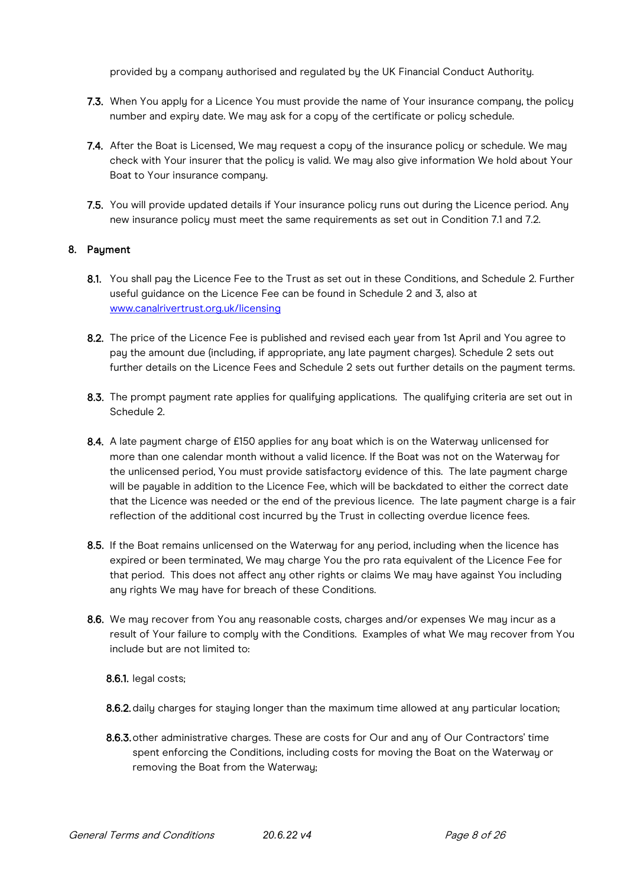provided by a company authorised and regulated by the UK Financial Conduct Authority.

- 7.3. When You apply for a Licence You must provide the name of Your insurance company, the policy number and expiry date. We may ask for a copy of the certificate or policy schedule.
- 7.4. After the Boat is Licensed, We may request a copy of the insurance policy or schedule. We may check with Your insurer that the policy is valid. We may also give information We hold about Your Boat to Your insurance company.
- 7.5. You will provide updated details if Your insurance policy runs out during the Licence period. Any new insurance policy must meet the same requirements as set out in Condition 7.1 and 7.2.

## 8. Payment

- 8.1. You shall pay the Licence Fee to the Trust as set out in these Conditions, and Schedule 2. Further useful guidance on the Licence Fee can be found in Schedule 2 and 3, also at [www.canalrivertrust.org.uk/licensing](http://www.canalrivertrust.org.uk/licensing)
- 8.2. The price of the Licence Fee is published and revised each year from 1st April and You agree to pay the amount due (including, if appropriate, any late payment charges). Schedule 2 sets out further details on the Licence Fees and Schedule 2 sets out further details on the payment terms.
- 8.3. The prompt payment rate applies for qualifying applications. The qualifying criteria are set out in Schedule 2.
- 8.4. A late payment charge of £150 applies for any boat which is on the Waterway unlicensed for more than one calendar month without a valid licence. If the Boat was not on the Waterway for the unlicensed period, You must provide satisfactory evidence of this. The late payment charge will be payable in addition to the Licence Fee, which will be backdated to either the correct date that the Licence was needed or the end of the previous licence. The late payment charge is a fair reflection of the additional cost incurred by the Trust in collecting overdue licence fees.
- 8.5. If the Boat remains unlicensed on the Waterway for any period, including when the licence has expired or been terminated, We may charge You the pro rata equivalent of the Licence Fee for that period. This does not affect any other rights or claims We may have against You including any rights We may have for breach of these Conditions.
- 8.6. We may recover from You any reasonable costs, charges and/or expenses We may incur as a result of Your failure to comply with the Conditions. Examples of what We may recover from You include but are not limited to:

8.6.1. legal costs;

8.6.2. daily charges for staying longer than the maximum time allowed at any particular location;

8.6.3. other administrative charges. These are costs for Our and any of Our Contractors' time spent enforcing the Conditions, including costs for moving the Boat on the Waterway or removing the Boat from the Waterway;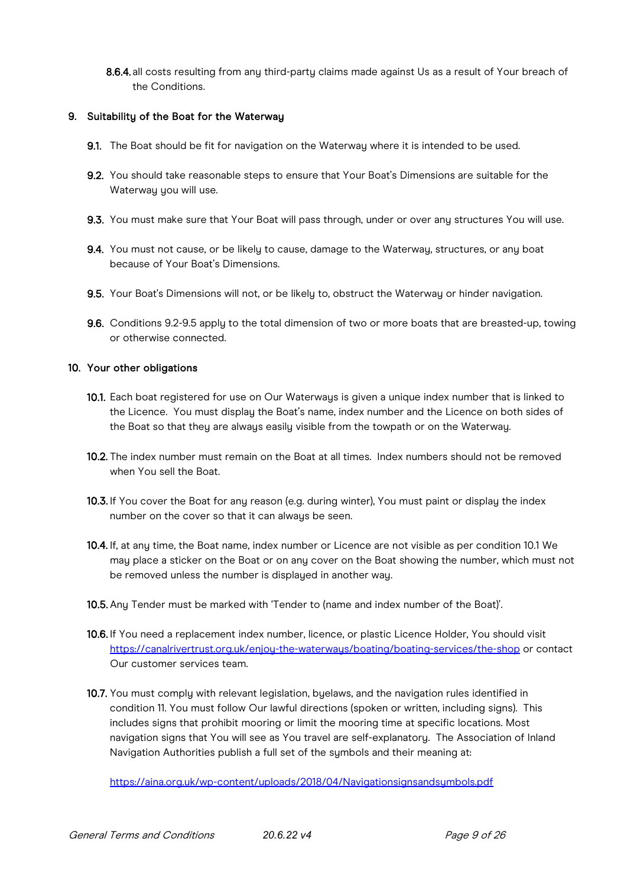8.6.4. all costs resulting from any third-party claims made against Us as a result of Your breach of the Conditions.

#### 9. Suitability of the Boat for the Waterway

- 9.1. The Boat should be fit for navigation on the Waterway where it is intended to be used.
- 9.2. You should take reasonable steps to ensure that Your Boat's Dimensions are suitable for the Waterway you will use.
- 9.3. You must make sure that Your Boat will pass through, under or over any structures You will use.
- 9.4. You must not cause, or be likely to cause, damage to the Waterway, structures, or any boat because of Your Boat's Dimensions.
- 9.5. Your Boat's Dimensions will not, or be likely to, obstruct the Waterway or hinder navigation.
- 9.6. Conditions 9.2-9.5 apply to the total dimension of two or more boats that are breasted-up, towing or otherwise connected.

#### 10. Your other obligations

- 10.1. Each boat registered for use on Our Waterways is given a unique index number that is linked to the Licence. You must display the Boat's name, index number and the Licence on both sides of the Boat so that they are always easily visible from the towpath or on the Waterway.
- 10.2. The index number must remain on the Boat at all times. Index numbers should not be removed when You sell the Boat.
- 10.3. If You cover the Boat for any reason (e.g. during winter), You must paint or display the index number on the cover so that it can alwaus be seen.
- 10.4. If, at any time, the Boat name, index number or Licence are not visible as per condition 10.1 We may place a sticker on the Boat or on any cover on the Boat showing the number, which must not be removed unless the number is displayed in another way.
- 10.5. Any Tender must be marked with 'Tender to (name and index number of the Boat)'.
- 10.6. If You need a replacement index number, licence, or plastic Licence Holder, You should visit <https://canalrivertrust.org.uk/enjoy-the-waterways/boating/boating-services/the-shop> or contact Our customer services team.
- 10.7. You must comply with relevant legislation, byelaws, and the navigation rules identified in condition 11. You must follow Our lawful directions (spoken or written, including signs). This includes signs that prohibit mooring or limit the mooring time at specific locations. Most navigation signs that You will see as You travel are self-explanatory. The Association of Inland Navigation Authorities publish a full set of the symbols and their meaning at:

<https://aina.org.uk/wp-content/uploads/2018/04/Navigationsignsandsymbols.pdf>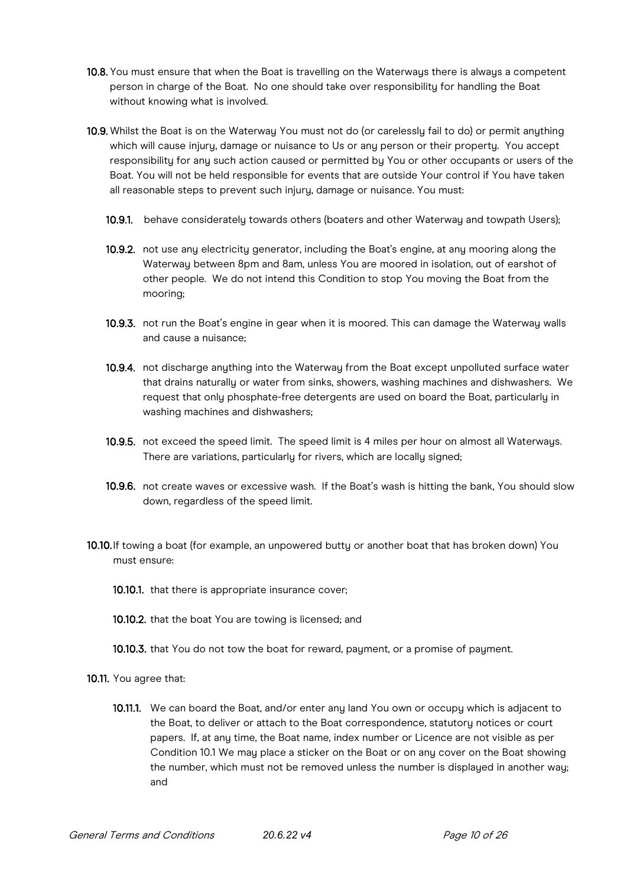- 10.8. You must ensure that when the Boat is travelling on the Waterways there is always a competent person in charge of the Boat. No one should take over responsibility for handling the Boat without knowing what is involved.
- 10.9. Whilst the Boat is on the Waterway You must not do (or carelessly fail to do) or permit anything which will cause injury, damage or nuisance to Us or any person or their property. You accept responsibility for any such action caused or permitted by You or other occupants or users of the Boat. You will not be held responsible for events that are outside Your control if You have taken all reasonable steps to prevent such injury, damage or nuisance. You must:
	- 10.9.1. behave considerately towards others (boaters and other Waterway and towpath Users);
	- 10.9.2. not use any electricity generator, including the Boat's engine, at any mooring along the Waterway between 8pm and 8am, unless You are moored in isolation, out of earshot of other people. We do not intend this Condition to stop You moving the Boat from the mooring;
	- 10.9.3. not run the Boat's engine in gear when it is moored. This can damage the Waterway walls and cause a nuisance;
	- 10.9.4. not discharge anything into the Waterway from the Boat except unpolluted surface water that drains naturally or water from sinks, showers, washing machines and dishwashers. We request that only phosphate-free detergents are used on board the Boat, particularly in washing machines and dishwashers;
	- 10.9.5. not exceed the speed limit. The speed limit is 4 miles per hour on almost all Waterways. There are variations, particularly for rivers, which are locally signed;
	- 10.9.6. not create waves or excessive wash. If the Boat's wash is hitting the bank, You should slow down, regardless of the speed limit.
- 10.10.If towing a boat (for example, an unpowered butty or another boat that has broken down) You must ensure:
	- 10.10.1. that there is appropriate insurance cover;
	- 10.10.2. that the boat You are towing is licensed; and
	- 10.10.3. that You do not tow the boat for reward, payment, or a promise of payment.
- 10.11. You agree that:
	- 10.11.1. We can board the Boat, and/or enter any land You own or occupy which is adjacent to the Boat, to deliver or attach to the Boat correspondence, statutory notices or court papers. If, at any time, the Boat name, index number or Licence are not visible as per Condition 10.1 We may place a sticker on the Boat or on any cover on the Boat showing the number, which must not be removed unless the number is displayed in another way; and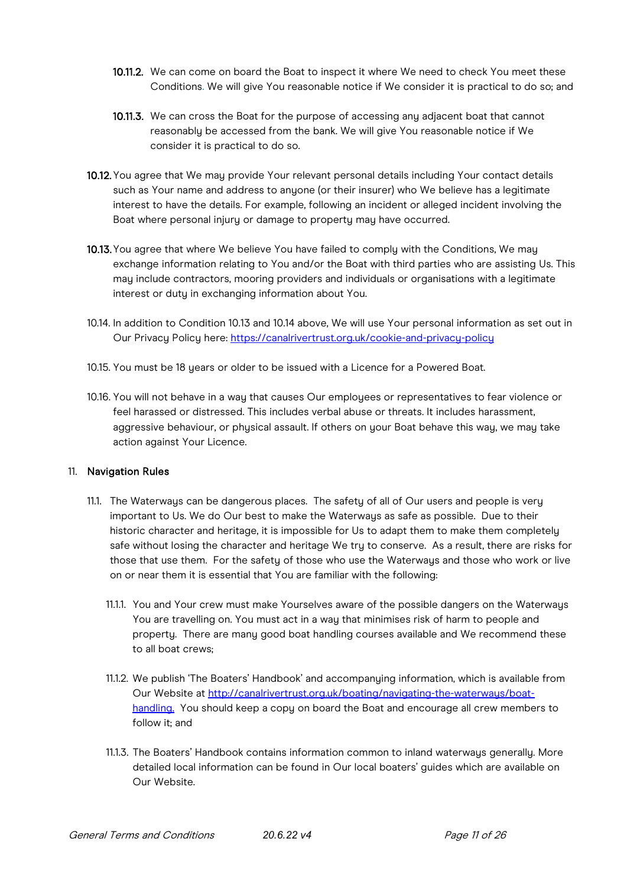- 10.11.2. We can come on board the Boat to inspect it where We need to check You meet these Conditions. We will give You reasonable notice if We consider it is practical to do so; and
- 10.11.3. We can cross the Boat for the purpose of accessing any adjacent boat that cannot reasonably be accessed from the bank. We will give You reasonable notice if We consider it is practical to do so.
- 10.12. You agree that We may provide Your relevant personal details including Your contact details such as Your name and address to anyone (or their insurer) who We believe has a legitimate interest to have the details. For example, following an incident or alleged incident involving the Boat where personal injury or damage to property may have occurred.
- 10.13. You agree that where We believe You have failed to complu with the Conditions, We mau exchange information relating to You and/or the Boat with third parties who are assisting Us. This may include contractors, mooring providers and individuals or organisations with a legitimate interest or duty in exchanging information about You.
- 10.14. In addition to Condition 10.13 and 10.14 above, We will use Your personal information as set out in Our Privacy Policy here:<https://canalrivertrust.org.uk/cookie-and-privacy-policy>
- 10.15. You must be 18 years or older to be issued with a Licence for a Powered Boat.
- 10.16. You will not behave in a way that causes Our employees or representatives to fear violence or feel harassed or distressed. This includes verbal abuse or threats. It includes harassment, aggressive behaviour, or physical assault. If others on your Boat behave this way, we may take action against Your Licence.

#### 11. Navigation Rules

- 11.1. The Waterways can be dangerous places. The safety of all of Our users and people is very important to Us. We do Our best to make the Waterways as safe as possible. Due to their historic character and heritage, it is impossible for Us to adapt them to make them completely safe without losing the character and heritage We try to conserve. As a result, there are risks for those that use them. For the safety of those who use the Waterways and those who work or live on or near them it is essential that You are familiar with the following:
	- 11.1.1. You and Your crew must make Yourselves aware of the possible dangers on the Waterways You are travelling on. You must act in a way that minimises risk of harm to people and property. There are many good boat handling courses available and We recommend these to all boat crews;
	- 11.1.2. We publish 'The Boaters' Handbook' and accompanying information, which is available from Our Website at<http://canalrivertrust.org.uk/boating/navigating>[-the-waterways/boat](http://canalrivertrust.org.uk/boating/navigating-the-waterways/boat-handling)[handling.](http://canalrivertrust.org.uk/boating/navigating-the-waterways/boat-handling) You should keep a copy on board the Boat and encourage all crew members to follow it; and
	- 11.1.3. The Boaters' Handbook contains information common to inland waterways generally. More detailed local information can be found in Our local boaters' guides which are available on Our Website.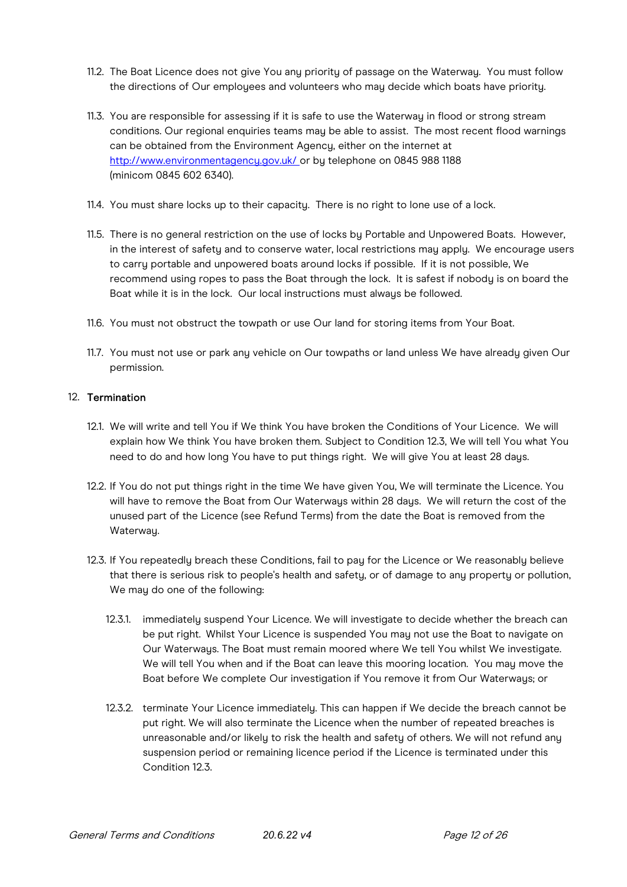- 11.2. The Boat Licence does not give You any priority of passage on the Waterway. You must follow the directions of Our employees and volunteers who may decide which boats have priority.
- 11.3. You are responsible for assessing if it is safe to use the Waterway in flood or strong stream conditions. Our regional enquiries teams may be able to assist. The most recent flood warnings can be obtained from the Environment Agency, either on the internet at [http://www.environmentagency.gov.uk/](http://www.environment-agency.gov.uk/) [o](http://www.environment-agency.gov.uk/)r by telephone on 0845 988 1188 (minicom 0845 602 6340).
- 11.4. You must share locks up to their capacity. There is no right to lone use of a lock.
- 11.5. There is no general restriction on the use of locks by Portable and Unpowered Boats. However, in the interest of safety and to conserve water, local restrictions may apply. We encourage users to carry portable and unpowered boats around locks if possible. If it is not possible, We recommend using ropes to pass the Boat through the lock. It is safest if nobody is on board the Boat while it is in the lock. Our local instructions must always be followed.
- 11.6. You must not obstruct the towpath or use Our land for storing items from Your Boat.
- 11.7. You must not use or park any vehicle on Our towpaths or land unless We have already given Our permission.

#### 12. Termination

- 12.1. We will write and tell You if We think You have broken the Conditions of Your Licence. We will explain how We think You have broken them. Subject to Condition 12.3, We will tell You what You need to do and how long You have to put things right. We will give You at least 28 days.
- 12.2. If You do not put things right in the time We have given You, We will terminate the Licence. You will have to remove the Boat from Our Waterways within 28 days. We will return the cost of the unused part of the Licence (see Refund Terms) from the date the Boat is removed from the Waterway.
- 12.3. If You repeatedly breach these Conditions, fail to pay for the Licence or We reasonably believe that there is serious risk to people's health and safety, or of damage to any property or pollution, We may do one of the following:
	- 12.3.1. immediately suspend Your Licence. We will investigate to decide whether the breach can be put right. Whilst Your Licence is suspended You may not use the Boat to navigate on Our Waterways. The Boat must remain moored where We tell You whilst We investigate. We will tell You when and if the Boat can leave this mooring location. You may move the Boat before We complete Our investigation if You remove it from Our Waterways; or
	- 12.3.2. terminate Your Licence immediately. This can happen if We decide the breach cannot be put right. We will also terminate the Licence when the number of repeated breaches is unreasonable and/or likely to risk the health and safety of others. We will not refund any suspension period or remaining licence period if the Licence is terminated under this Condition 12.3.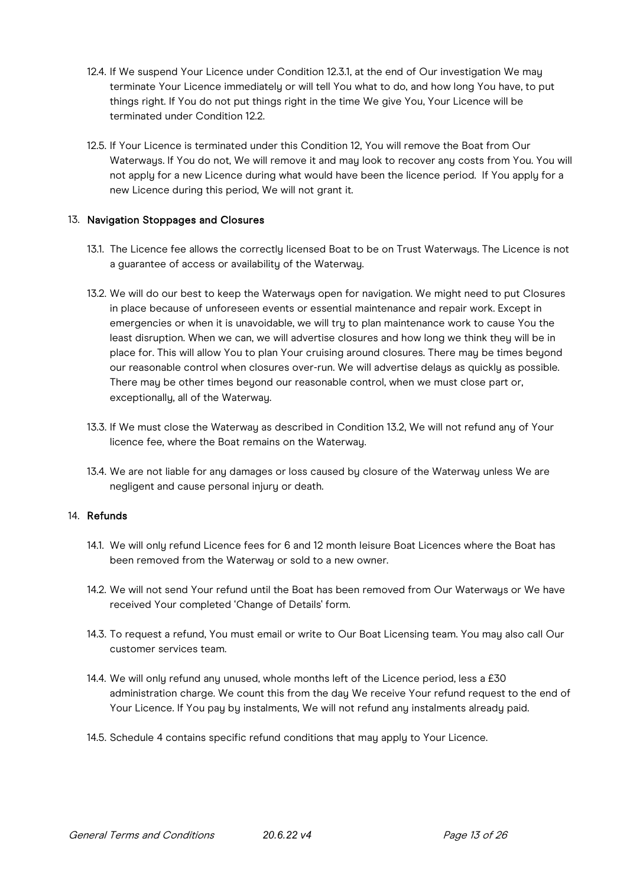- 12.4. If We suspend Your Licence under Condition 12.3.1, at the end of Our investigation We may terminate Your Licence immediately or will tell You what to do, and how long You have, to put things right. If You do not put things right in the time We give You, Your Licence will be terminated under Condition 12.2.
- 12.5. If Your Licence is terminated under this Condition 12, You will remove the Boat from Our Waterways. If You do not, We will remove it and may look to recover any costs from You. You will not apply for a new Licence during what would have been the licence period. If You apply for a new Licence during this period, We will not grant it.

#### 13. Navigation Stoppages and Closures

- 13.1. The Licence fee allows the correctly licensed Boat to be on Trust Waterways. The Licence is not a guarantee of access or availability of the Waterway.
- 13.2. We will do our best to keep the Waterways open for navigation. We might need to put Closures in place because of unforeseen events or essential maintenance and repair work. Except in emergencies or when it is unavoidable, we will try to plan maintenance work to cause You the least disruption. When we can, we will advertise closures and how long we think they will be in place for. This will allow You to plan Your cruising around closures. There may be times beyond our reasonable control when closures over-run. We will advertise delays as quickly as possible. There may be other times beyond our reasonable control, when we must close part or, exceptionally, all of the Waterway.
- 13.3. If We must close the Waterway as described in Condition 13.2, We will not refund any of Your licence fee, where the Boat remains on the Waterway.
- 13.4. We are not liable for any damages or loss caused by closure of the Waterway unless We are negligent and cause personal injury or death.

#### 14. Refunds

- 14.1. We will only refund Licence fees for 6 and 12 month leisure Boat Licences where the Boat has been removed from the Waterway or sold to a new owner.
- 14.2. We will not send Your refund until the Boat has been removed from Our Waterways or We have received Your completed 'Change of Details' form.
- 14.3. To request a refund, You must email or write to Our Boat Licensing team. You may also call Our customer services team.
- 14.4. We will only refund any unused, whole months left of the Licence period, less a £30 administration charge. We count this from the day We receive Your refund request to the end of Your Licence. If You pay by instalments, We will not refund any instalments already paid.
- 14.5. Schedule 4 contains specific refund conditions that may apply to Your Licence.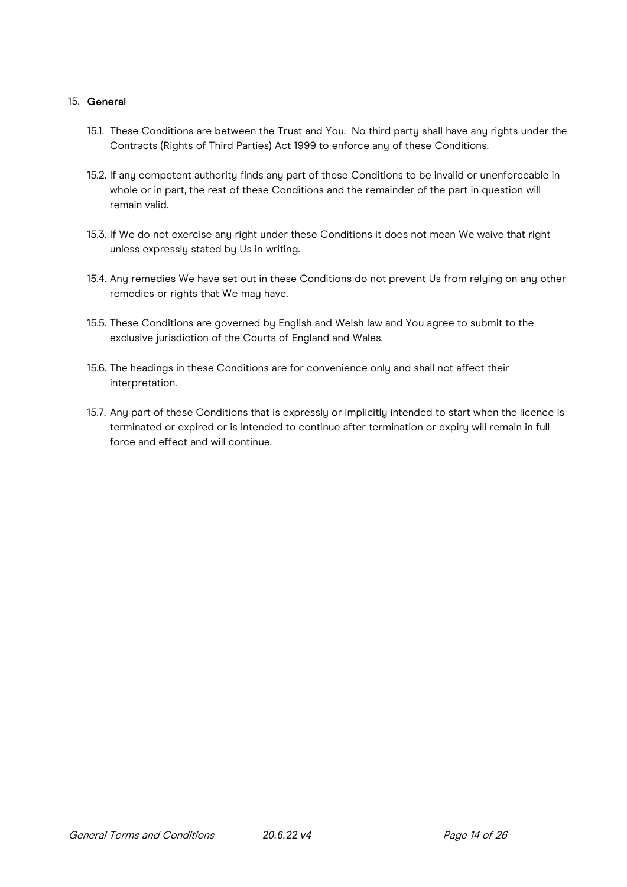#### 15. General

- 15.1. These Conditions are between the Trust and You. No third party shall have any rights under the Contracts (Rights of Third Parties) Act 1999 to enforce any of these Conditions.
- 15.2. If any competent authority finds any part of these Conditions to be invalid or unenforceable in whole or in part, the rest of these Conditions and the remainder of the part in question will remain valid.
- 15.3. If We do not exercise any right under these Conditions it does not mean We waive that right unless expressly stated by Us in writing.
- 15.4. Any remedies We have set out in these Conditions do not prevent Us from relying on any other remedies or rights that We may have.
- 15.5. These Conditions are governed by English and Welsh law and You agree to submit to the exclusive jurisdiction of the Courts of England and Wales.
- 15.6. The headings in these Conditions are for convenience only and shall not affect their interpretation.
- 15.7. Any part of these Conditions that is expressly or implicitly intended to start when the licence is terminated or expired or is intended to continue after termination or expiry will remain in full force and effect and will continue.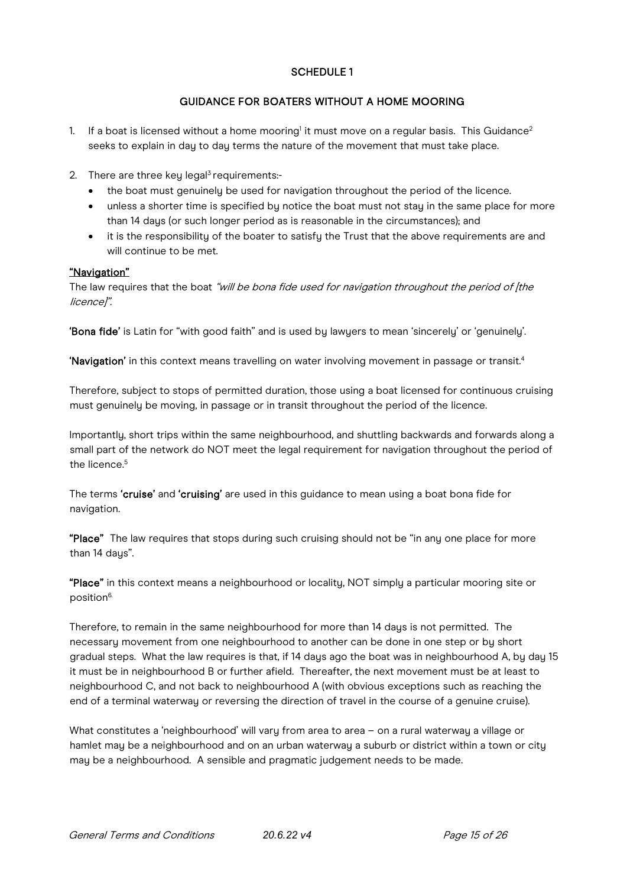# SCHEDULE 1

# GUIDANCE FOR BOATERS WITHOUT A HOME MOORING

- 1. If a boat is licensed without a home mooring<sup>1</sup> it must move on a regular basis. This Guidance<sup>2</sup> seeks to explain in day to day terms the nature of the movement that must take place.
- 2. There are three key legal<sup>3</sup> requirements:-
	- the boat must genuinely be used for navigation throughout the period of the licence.
	- unless a shorter time is specified by notice the boat must not stay in the same place for more than 14 days (or such longer period as is reasonable in the circumstances); and
	- it is the responsibility of the boater to satisfy the Trust that the above requirements are and will continue to be met.

## "Navigation"

The law requires that the boat "will be bona fide used for navigation throughout the period of [the licence]".

'Bona fide' is Latin for "with good faith" and is used by lawyers to mean 'sincerely' or 'genuinely'.

'Navigation' in this context means travelling on water involving movement in passage or transit.4

Therefore, subject to stops of permitted duration, those using a boat licensed for continuous cruising must genuinely be moving, in passage or in transit throughout the period of the licence.

Importantly, short trips within the same neighbourhood, and shuttling backwards and forwards along a small part of the network do NOT meet the legal requirement for navigation throughout the period of the licence.<sup>5</sup>

The terms 'cruise' and 'cruising' are used in this quidance to mean using a boat bona fide for navigation.

"Place" The law requires that stops during such cruising should not be "in any one place for more than 14 daus".

"Place" in this context means a neighbourhood or locality, NOT simply a particular mooring site or position<sup>6.</sup>

Therefore, to remain in the same neighbourhood for more than 14 days is not permitted. The necessary movement from one neighbourhood to another can be done in one step or by short gradual steps. What the law requires is that, if 14 days ago the boat was in neighbourhood A, by day 15 it must be in neighbourhood B or further afield. Thereafter, the next movement must be at least to neighbourhood C, and not back to neighbourhood A (with obvious exceptions such as reaching the end of a terminal waterway or reversing the direction of travel in the course of a genuine cruise).

What constitutes a 'neighbourhood' will vary from area to area – on a rural waterway a village or hamlet may be a neighbourhood and on an urban waterway a suburb or district within a town or city may be a neighbourhood. A sensible and pragmatic judgement needs to be made.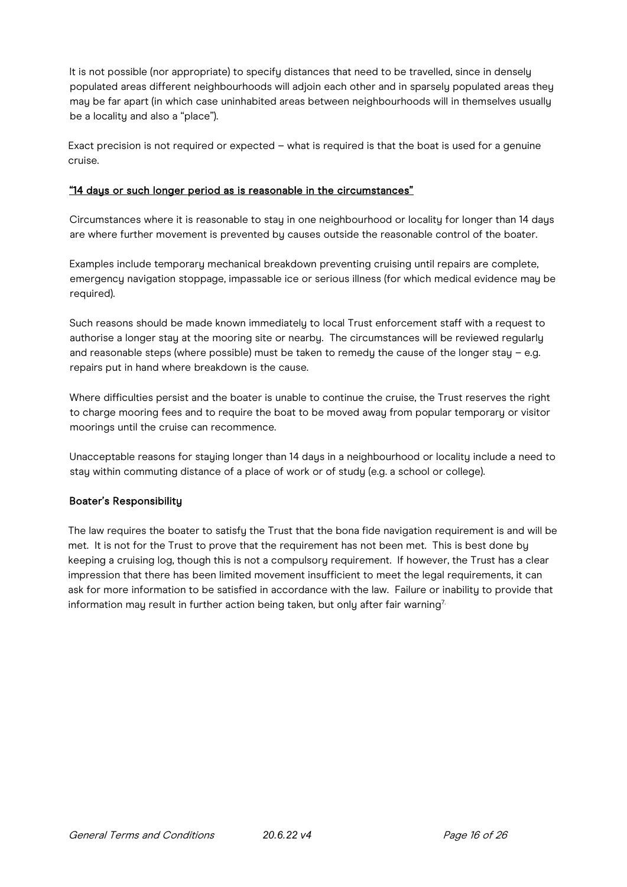It is not possible (nor appropriate) to specify distances that need to be travelled, since in densely populated areas different neighbourhoods will adjoin each other and in sparsely populated areas they may be far apart (in which case uninhabited areas between neighbourhoods will in themselves usually be a locality and also a "place").

Exact precision is not required or expected – what is required is that the boat is used for a genuine cruise.

#### "14 days or such longer period as is reasonable in the circumstances"

Circumstances where it is reasonable to stay in one neighbourhood or locality for longer than 14 days are where further movement is prevented by causes outside the reasonable control of the boater.

Examples include temporary mechanical breakdown preventing cruising until repairs are complete, emergency navigation stoppage, impassable ice or serious illness (for which medical evidence may be required).

Such reasons should be made known immediately to local Trust enforcement staff with a request to authorise a longer stay at the mooring site or nearby. The circumstances will be reviewed regularly and reasonable steps (where possible) must be taken to remedy the cause of the longer stay - e.g. repairs put in hand where breakdown is the cause.

Where difficulties persist and the boater is unable to continue the cruise, the Trust reserves the right to charge mooring fees and to require the boat to be moved away from popular temporary or visitor moorings until the cruise can recommence.

Unacceptable reasons for staying longer than 14 days in a neighbourhood or locality include a need to stay within commuting distance of a place of work or of study (e.g. a school or college).

#### Boater's Responsibility

The law requires the boater to satisfy the Trust that the bona fide navigation requirement is and will be met. It is not for the Trust to prove that the requirement has not been met. This is best done by keeping a cruising log, though this is not a compulsory requirement. If however, the Trust has a clear impression that there has been limited movement insufficient to meet the legal requirements, it can ask for more information to be satisfied in accordance with the law. Failure or inability to provide that information may result in further action being taken, but only after fair warning<sup>7.</sup>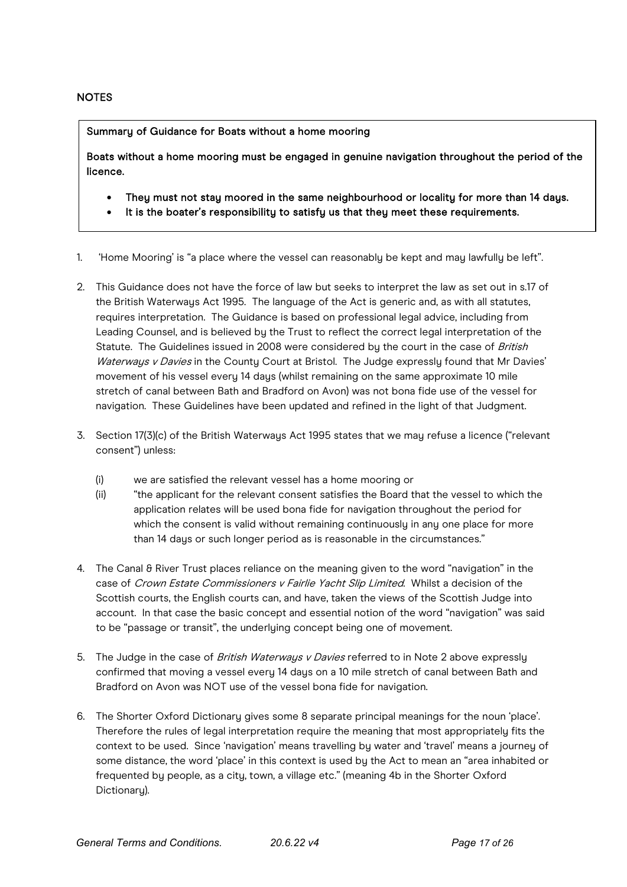#### **NOTES**

Summary of Guidance for Boats without a home mooring

Boats without a home mooring must be engaged in genuine navigation throughout the period of the licence.

- They must not stay moored in the same neighbourhood or locality for more than 14 days.
- It is the boater's responsibility to satisfy us that they meet these requirements.
- 1. 'Home Mooring' is "a place where the vessel can reasonably be kept and may lawfully be left".
- 2. This Guidance does not have the force of law but seeks to interpret the law as set out in s.17 of the British Waterways Act 1995. The language of the Act is generic and, as with all statutes, requires interpretation. The Guidance is based on professional legal advice, including from Leading Counsel, and is believed by the Trust to reflect the correct legal interpretation of the Statute. The Guidelines issued in 2008 were considered by the court in the case of British Waterways v Davies in the County Court at Bristol. The Judge expressly found that Mr Davies' movement of his vessel every 14 days (whilst remaining on the same approximate 10 mile stretch of canal between Bath and Bradford on Avon) was not bona fide use of the vessel for navigation. These Guidelines have been updated and refined in the light of that Judgment.
- 3. Section 17(3)(c) of the British Waterways Act 1995 states that we may refuse a licence ("relevant consent") unless:
	- (i) we are satisfied the relevant vessel has a home mooring or
	- (ii) "the applicant for the relevant consent satisfies the Board that the vessel to which the application relates will be used bona fide for navigation throughout the period for which the consent is valid without remaining continuously in any one place for more than 14 days or such longer period as is reasonable in the circumstances."
- 4. The Canal & River Trust places reliance on the meaning given to the word "navigation" in the case of Crown Estate Commissioners v Fairlie Yacht Slip Limited. Whilst a decision of the Scottish courts, the English courts can, and have, taken the views of the Scottish Judge into account. In that case the basic concept and essential notion of the word "navigation" was said to be "passage or transit", the underlying concept being one of movement.
- 5. The Judge in the case of British Waterways v Davies referred to in Note 2 above expressly confirmed that moving a vessel every 14 days on a 10 mile stretch of canal between Bath and Bradford on Avon was NOT use of the vessel bona fide for navigation.
- 6. The Shorter Oxford Dictionary gives some 8 separate principal meanings for the noun 'place'. Therefore the rules of legal interpretation require the meaning that most appropriately fits the context to be used. Since 'navigation' means travelling by water and 'travel' means a journey of some distance, the word 'place' in this context is used by the Act to mean an "area inhabited or frequented by people, as a city, town, a village etc." (meaning 4b in the Shorter Oxford Dictionary).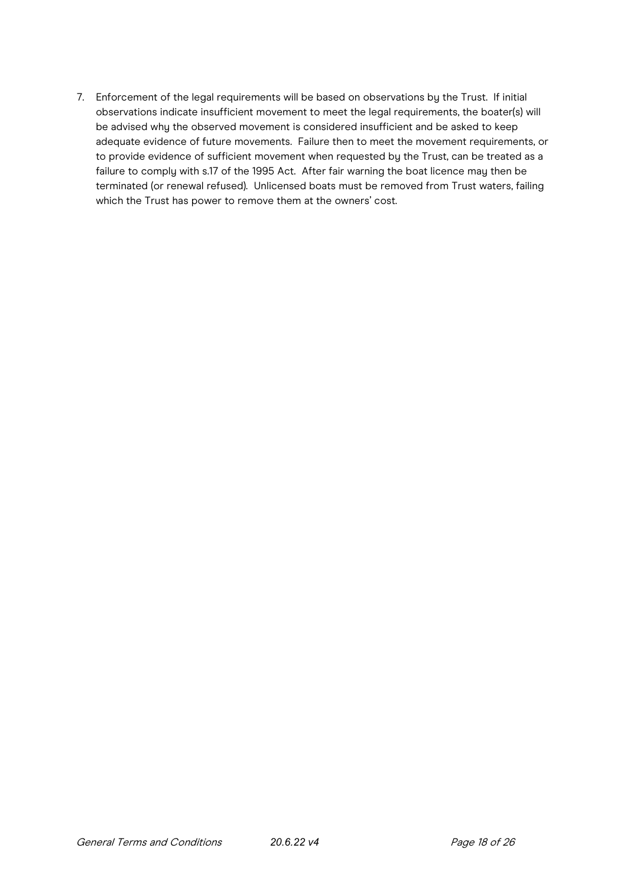7. Enforcement of the legal requirements will be based on observations by the Trust. If initial observations indicate insufficient movement to meet the legal requirements, the boater(s) will be advised why the observed movement is considered insufficient and be asked to keep adequate evidence of future movements. Failure then to meet the movement requirements, or to provide evidence of sufficient movement when requested by the Trust, can be treated as a failure to comply with s.17 of the 1995 Act. After fair warning the boat licence may then be terminated (or renewal refused). Unlicensed boats must be removed from Trust waters, failing which the Trust has power to remove them at the owners' cost.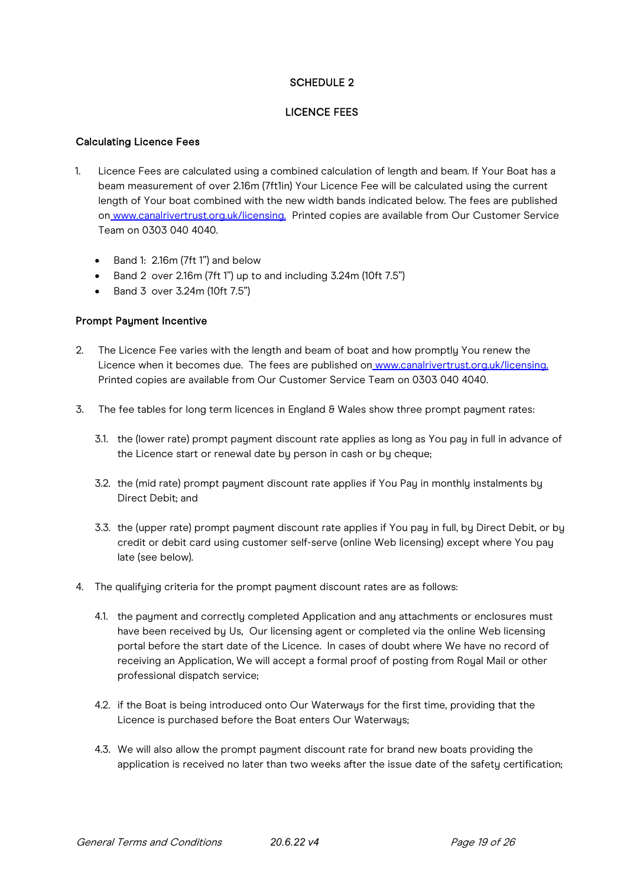# SCHEDULE 2

## LICENCE FEES

#### Calculating Licence Fees

- 1. Licence Fees are calculated using a combined calculation of length and beam. If Your Boat has a beam measurement of over 2.16m (7ft1in) Your Licence Fee will be calculated using the current length of Your boat combined with the new width bands indicated below. The fees are published o[n](http://www.canalrivertrust.org.uk/licensing) [www.canalrivertrust.org.uk/licensing.](http://www.canalrivertrust.org.uk/licensing) Printed copies are available from Our Customer Service Team on 0303 040 4040.
	- Band 1: 2.16m (7ft 1") and below
	- Band 2 over 2.16m (7ft 1") up to and including 3.24m (10ft 7.5")
	- Band 3 over 3.24m (10ft 7.5")

## Prompt Payment Incentive

- 2. The Licence Fee varies with the length and beam of boat and how promptly You renew the Licence when it becomes due. The fees are published o[n](http://www.canalrivertrust.org.uk/licensing) [www.canalrivertrust.org.uk/licensing.](http://www.canalrivertrust.org.uk/licensing)  Printed copies are available from Our Customer Service Team on 0303 040 4040.
- 3. The fee tables for long term licences in England  $\theta$  Wales show three prompt payment rates:
	- 3.1. the (lower rate) prompt payment discount rate applies as long as You pay in full in advance of the Licence start or renewal date by person in cash or by cheque;
	- 3.2. the (mid rate) prompt payment discount rate applies if You Pay in monthly instalments by Direct Debit; and
	- 3.3. the (upper rate) prompt payment discount rate applies if You pay in full, by Direct Debit, or by credit or debit card using customer self-serve (online Web licensing) except where You pay late (see below).
- 4. The qualifying criteria for the prompt payment discount rates are as follows:
	- 4.1. the payment and correctly completed Application and any attachments or enclosures must have been received by Us, Our licensing agent or completed via the online Web licensing portal before the start date of the Licence. In cases of doubt where We have no record of receiving an Application, We will accept a formal proof of posting from Royal Mail or other professional dispatch service;
	- 4.2. if the Boat is being introduced onto Our Waterways for the first time, providing that the Licence is purchased before the Boat enters Our Waterways;
	- 4.3. We will also allow the prompt payment discount rate for brand new boats providing the application is received no later than two weeks after the issue date of the safety certification;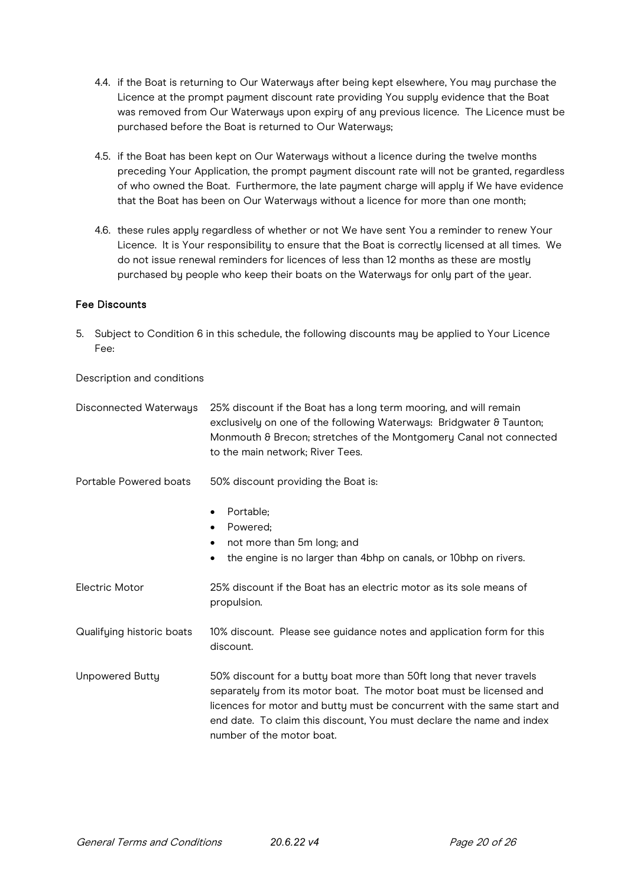- 4.4. if the Boat is returning to Our Waterways after being kept elsewhere, You may purchase the Licence at the prompt payment discount rate providing You supply evidence that the Boat was removed from Our Waterways upon expiry of any previous licence. The Licence must be purchased before the Boat is returned to Our Waterways;
- 4.5. if the Boat has been kept on Our Waterways without a licence during the twelve months preceding Your Application, the prompt payment discount rate will not be granted, regardless of who owned the Boat. Furthermore, the late payment charge will apply if We have evidence that the Boat has been on Our Waterways without a licence for more than one month;
- 4.6. these rules apply regardless of whether or not We have sent You a reminder to renew Your Licence. It is Your responsibility to ensure that the Boat is correctly licensed at all times. We do not issue renewal reminders for licences of less than 12 months as these are mostly purchased by people who keep their boats on the Waterways for only part of the year.

## Fee Discounts

5. Subject to Condition 6 in this schedule, the following discounts may be applied to Your Licence Fee:

Description and conditions

| <b>Disconnected Waterways</b> | 25% discount if the Boat has a long term mooring, and will remain<br>exclusively on one of the following Waterways: Bridgwater & Taunton;<br>Monmouth & Brecon; stretches of the Montgomery Canal not connected<br>to the main network; River Tees.                                                                          |
|-------------------------------|------------------------------------------------------------------------------------------------------------------------------------------------------------------------------------------------------------------------------------------------------------------------------------------------------------------------------|
| Portable Powered boats        | 50% discount providing the Boat is:                                                                                                                                                                                                                                                                                          |
|                               | Portable;<br>$\bullet$<br>Powered;<br>not more than 5m long; and<br>$\bullet$<br>the engine is no larger than 4bhp on canals, or 10bhp on rivers.                                                                                                                                                                            |
| <b>Electric Motor</b>         | 25% discount if the Boat has an electric motor as its sole means of<br>propulsion.                                                                                                                                                                                                                                           |
| Qualifying historic boats     | 10% discount. Please see guidance notes and application form for this<br>discount.                                                                                                                                                                                                                                           |
| <b>Unpowered Butty</b>        | 50% discount for a butty boat more than 50ft long that never travels<br>separately from its motor boat. The motor boat must be licensed and<br>licences for motor and butty must be concurrent with the same start and<br>end date. To claim this discount, You must declare the name and index<br>number of the motor boat. |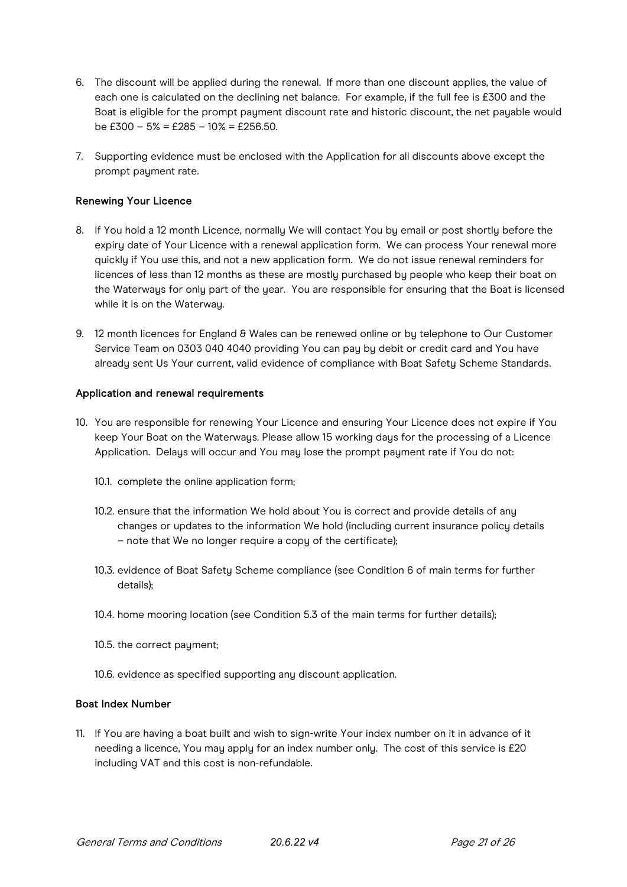- 6. The discount will be applied during the renewal. If more than one discount applies, the value of each one is calculated on the declining net balance. For example, if the full fee is £300 and the Boat is eligible for the prompt payment discount rate and historic discount, the net payable would be  $£300 - 5% = £285 - 10% = £256.50.$
- 7. Supporting evidence must be enclosed with the Application for all discounts above except the prompt payment rate.

#### Renewing Your Licence

- 8. If You hold a 12 month Licence, normally We will contact You by email or post shortly before the expiry date of Your Licence with a renewal application form. We can process Your renewal more quickly if You use this, and not a new application form. We do not issue renewal reminders for licences of less than 12 months as these are mostly purchased by people who keep their boat on the Waterways for only part of the year. You are responsible for ensuring that the Boat is licensed while it is on the Waterway.
- 9. 12 month licences for England & Wales can be renewed online or by telephone to Our Customer Service Team on 0303 040 4040 providing You can pay by debit or credit card and You have already sent Us Your current, valid evidence of compliance with Boat Safety Scheme Standards.

#### Application and renewal requirements

- 10. You are responsible for renewing Your Licence and ensuring Your Licence does not expire if You keep Your Boat on the Waterwaus. Please allow 15 working daus for the processing of a Licence Application. Delays will occur and You may lose the prompt payment rate if You do not:
	- 10.1. complete the online application form;
	- 10.2. ensure that the information We hold about You is correct and provide details of any changes or updates to the information We hold (including current insurance policy details – note that We no longer require a copy of the certificate);
	- 10.3. evidence of Boat Safety Scheme compliance (see Condition 6 of main terms for further details);
	- 10.4. home mooring location (see Condition 5.3 of the main terms for further details);
	- 10.5. the correct payment;
	- 10.6. evidence as specified supporting any discount application.

#### Boat Index Number

11. If You are having a boat built and wish to sign-write Your index number on it in advance of it needing a licence, You may apply for an index number only. The cost of this service is £20 including VAT and this cost is non-refundable.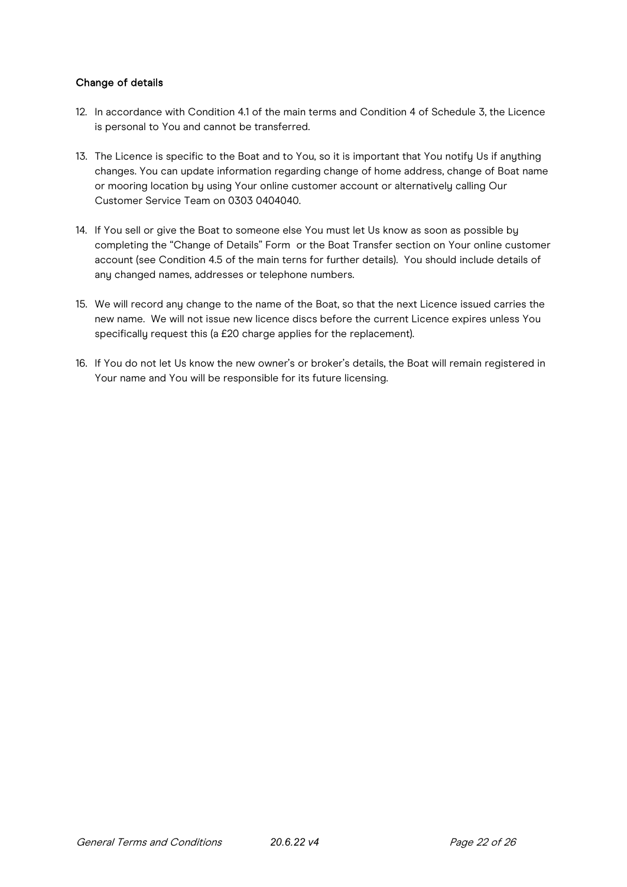# Change of details

- 12. In accordance with Condition 4.1 of the main terms and Condition 4 of Schedule 3, the Licence is personal to You and cannot be transferred.
- 13. The Licence is specific to the Boat and to You, so it is important that You notify Us if anything changes. You can update information regarding change of home address, change of Boat name or mooring location by using Your online customer account or alternatively calling Our Customer Service Team on 0303 0404040.
- 14. If You sell or give the Boat to someone else You must let Us know as soon as possible by completing the "Change of Details" Form or the Boat Transfer section on Your online customer account (see Condition 4.5 of the main terns for further details). You should include details of any changed names, addresses or telephone numbers.
- 15. We will record any change to the name of the Boat, so that the next Licence issued carries the new name. We will not issue new licence discs before the current Licence expires unless You specifically request this (a £20 charge applies for the replacement).
- 16. If You do not let Us know the new owner's or broker's details, the Boat will remain registered in Your name and You will be responsible for its future licensing.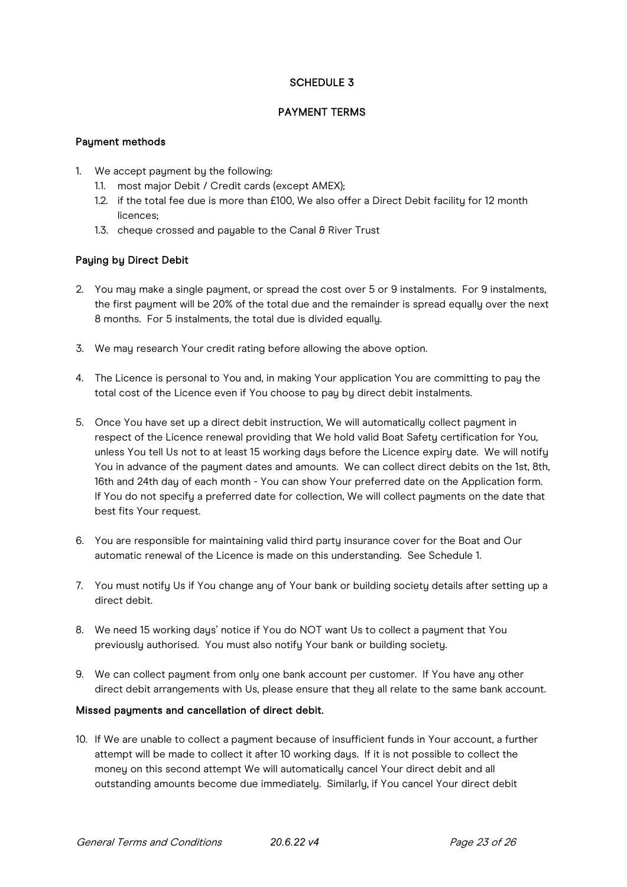# SCHEDULE 3

# PAYMENT TERMS

## Payment methods

- 1. We accept payment by the following:
	- 1.1. most major Debit / Credit cards (except AMEX);
	- 1.2. if the total fee due is more than £100, We also offer a Direct Debit facility for 12 month licences;
	- 1.3. cheque crossed and payable to the Canal & River Trust

# Paying by Direct Debit

- 2. You may make a single payment, or spread the cost over 5 or 9 instalments. For 9 instalments, the first payment will be 20% of the total due and the remainder is spread equally over the next 8 months. For 5 instalments, the total due is divided equally.
- 3. We may research Your credit rating before allowing the above option.
- 4. The Licence is personal to You and, in making Your application You are committing to pay the total cost of the Licence even if You choose to pay by direct debit instalments.
- 5. Once You have set up a direct debit instruction, We will automatically collect payment in respect of the Licence renewal providing that We hold valid Boat Safety certification for You, unless You tell Us not to at least 15 working days before the Licence expiry date. We will notify You in advance of the payment dates and amounts. We can collect direct debits on the 1st, 8th, 16th and 24th day of each month - You can show Your preferred date on the Application form. If You do not specifu a preferred date for collection, We will collect payments on the date that best fits Your request.
- 6. You are responsible for maintaining valid third party insurance cover for the Boat and Our automatic renewal of the Licence is made on this understanding. See Schedule 1.
- 7. You must notify Us if You change any of Your bank or building society details after setting up a direct debit.
- 8. We need 15 working days' notice if You do NOT want Us to collect a payment that You previously authorised. You must also notify Your bank or building society.
- 9. We can collect payment from only one bank account per customer. If You have any other direct debit arrangements with Us, please ensure that they all relate to the same bank account.

#### Missed payments and cancellation of direct debit.

10. If We are unable to collect a payment because of insufficient funds in Your account, a further attempt will be made to collect it after 10 working days. If it is not possible to collect the money on this second attempt We will automatically cancel Your direct debit and all outstanding amounts become due immediately. Similarly, if You cancel Your direct debit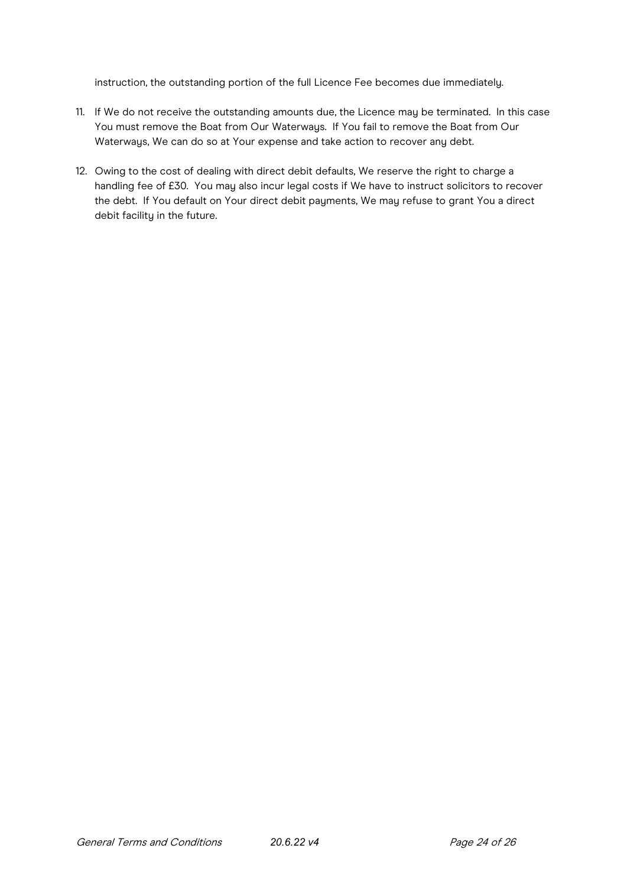instruction, the outstanding portion of the full Licence Fee becomes due immediately.

- 11. If We do not receive the outstanding amounts due, the Licence may be terminated. In this case You must remove the Boat from Our Waterways. If You fail to remove the Boat from Our Waterways, We can do so at Your expense and take action to recover any debt.
- 12. Owing to the cost of dealing with direct debit defaults, We reserve the right to charge a handling fee of £30. You may also incur legal costs if We have to instruct solicitors to recover the debt. If You default on Your direct debit payments, We may refuse to grant You a direct debit facility in the future.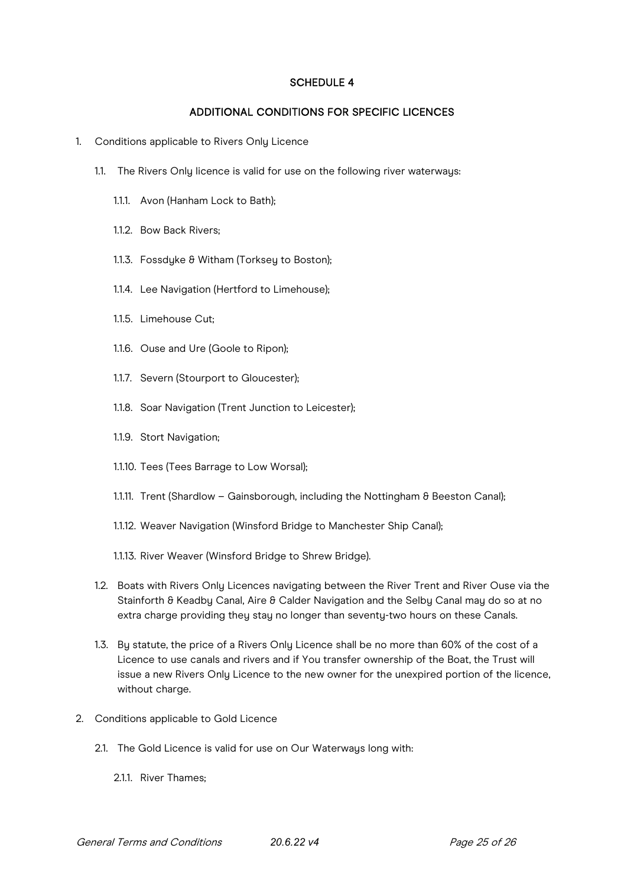#### SCHEDULE 4

## ADDITIONAL CONDITIONS FOR SPECIFIC LICENCES

- 1. Conditions applicable to Rivers Only Licence
	- 1.1. The Rivers Only licence is valid for use on the following river waterways:
		- 1.1.1. Avon (Hanham Lock to Bath);
		- 1.1.2. Bow Back Rivers;
		- 1.1.3. Fossdyke & Witham (Torksey to Boston);
		- 1.1.4. Lee Navigation (Hertford to Limehouse);
		- 1.1.5. Limehouse Cut;
		- 1.1.6. Ouse and Ure (Goole to Ripon);
		- 1.1.7. Severn (Stourport to Gloucester);
		- 1.1.8. Soar Navigation (Trent Junction to Leicester);
		- 1.1.9. Stort Navigation;
		- 1.1.10. Tees (Tees Barrage to Low Worsal);
		- 1.1.11. Trent (Shardlow Gainsborough, including the Nottingham & Beeston Canal);
		- 1.1.12. Weaver Navigation (Winsford Bridge to Manchester Ship Canal);
		- 1.1.13. River Weaver (Winsford Bridge to Shrew Bridge).
	- 1.2. Boats with Rivers Only Licences navigating between the River Trent and River Ouse via the Stainforth & Keadby Canal, Aire & Calder Navigation and the Selby Canal may do so at no extra charge providing they stay no longer than seventy-two hours on these Canals.
	- 1.3. By statute, the price of a Rivers Only Licence shall be no more than 60% of the cost of a Licence to use canals and rivers and if You transfer ownership of the Boat, the Trust will issue a new Rivers Only Licence to the new owner for the unexpired portion of the licence, without charge.
- 2. Conditions applicable to Gold Licence
	- 2.1. The Gold Licence is valid for use on Our Waterways long with:
		- 2.1.1. River Thames;